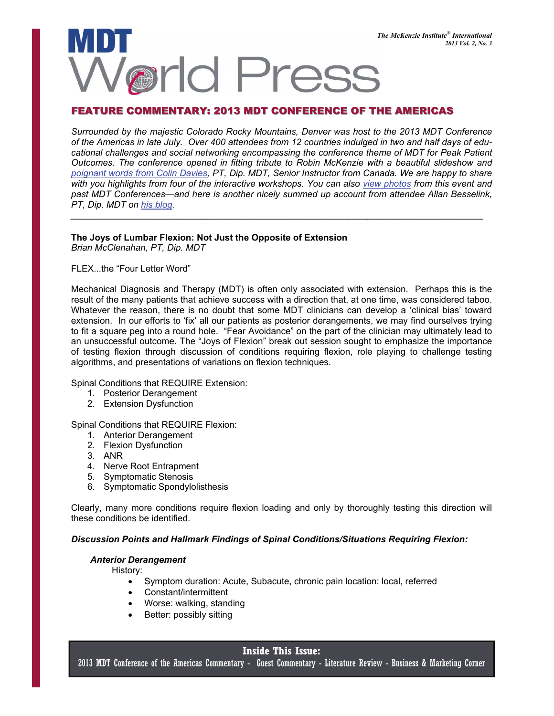# FEATURE COMMENTARY: 2013 MDT CONFERENCE OF THE AMERICAS

*Surrounded by the majestic Colorado Rocky Mountains, Denver was host to the 2013 MDT Conference of the Americas in late July. Over 400 attendees from 12 countries indulged in two and half days of educational challenges and social networking encompassing the conference theme of MDT for Peak Patient Outcomes. The conference opened in fitting tribute to Robin McKenzie with a beautiful slideshow and [poignant words from Colin Davies](http://www.mckenziemdt.org/MDTWorldPress/PDFs/2013_Vol%202%20No%203/Robin_Denver_Colin_remarks.pdf), PT, Dip. MDT, Senior Instructor from Canada. We are happy to share with you highlights from four of the interactive workshops. You can also [view photos](http://picasaweb.google.com/107786479445569256912) from this event and past MDT Conferences—and here is another nicely summed up account from attendee Allan Besselink, PT, Dip. MDT on [his blog](http://www.smartlifeinstitute.com/blog?start=6).* 

*\_\_\_\_\_\_\_\_\_\_\_\_\_\_\_\_\_\_\_\_\_\_\_\_\_\_\_\_\_\_\_\_\_\_\_\_\_\_\_\_\_\_\_\_\_\_\_\_\_\_\_\_\_\_\_\_\_\_\_\_\_\_\_\_\_\_\_\_\_\_\_\_\_\_\_\_\_\_\_\_\_\_* 

#### **The Joys of Lumbar Flexion: Not Just the Opposite of Extension** *Brian McClenahan, PT, Dip. MDT*

FLEX...the "Four Letter Word"

Mechanical Diagnosis and Therapy (MDT) is often only associated with extension. Perhaps this is the result of the many patients that achieve success with a direction that, at one time, was considered taboo. Whatever the reason, there is no doubt that some MDT clinicians can develop a 'clinical bias' toward extension. In our efforts to 'fix' all our patients as posterior derangements, we may find ourselves trying to fit a square peg into a round hole. "Fear Avoidance" on the part of the clinician may ultimately lead to an unsuccessful outcome. The "Joys of Flexion" break out session sought to emphasize the importance of testing flexion through discussion of conditions requiring flexion, role playing to challenge testing algorithms, and presentations of variations on flexion techniques.

Spinal Conditions that REQUIRE Extension:

- 1. Posterior Derangement
- 2. Extension Dysfunction

Spinal Conditions that REQUIRE Flexion:

- 1. Anterior Derangement
- 2. Flexion Dysfunction
- 3. ANR
- 4. Nerve Root Entrapment
- 5. Symptomatic Stenosis
- 6. Symptomatic Spondylolisthesis

Clearly, many more conditions require flexion loading and only by thoroughly testing this direction will these conditions be identified.

### *Discussion Points and Hallmark Findings of Spinal Conditions/Situations Requiring Flexion:*

### *Anterior Derangement*

History:

- Symptom duration: Acute, Subacute, chronic pain location: local, referred
- Constant/intermittent
- Worse: walking, standing
- Better: possibly sitting

2013 MDT Conference of the Americas Commentary - Guest Commentary - Literature Review - Business & Marketing Corner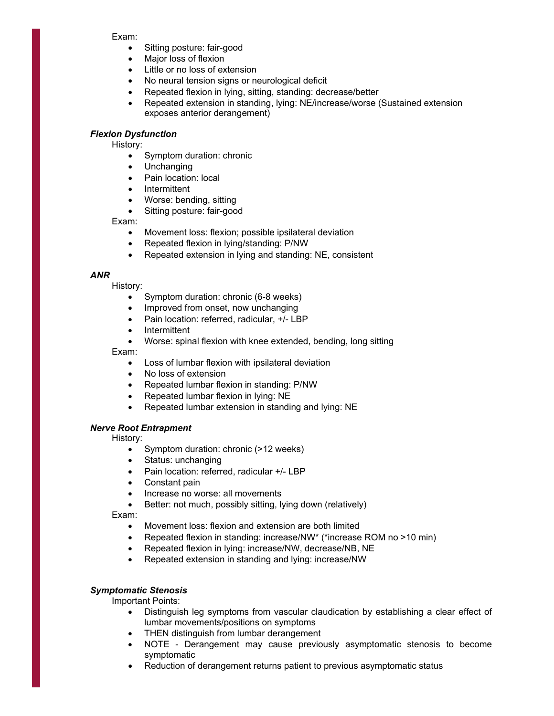Exam:

- Sitting posture: fair-good
- Major loss of flexion
- Little or no loss of extension
- No neural tension signs or neurological deficit
- Repeated flexion in lying, sitting, standing: decrease/better
- Repeated extension in standing, lying: NE/increase/worse (Sustained extension exposes anterior derangement)

# *Flexion Dysfunction*

History:

- Symptom duration: chronic
- Unchanging
- Pain location: local
- Intermittent
- Worse: bending, sitting
- Sitting posture: fair-good

Exam:

- Movement loss: flexion; possible ipsilateral deviation
- Repeated flexion in lying/standing: P/NW
- Repeated extension in lying and standing: NE, consistent

## *ANR*

History:

- Symptom duration: chronic (6-8 weeks)
- Improved from onset, now unchanging
- Pain location: referred, radicular, +/- LBP
- Intermittent
- Worse: spinal flexion with knee extended, bending, long sitting

Exam:

- Loss of lumbar flexion with ipsilateral deviation
- No loss of extension
- Repeated lumbar flexion in standing: P/NW
- Repeated lumbar flexion in lying: NE
- Repeated lumbar extension in standing and lying: NE

# *Nerve Root Entrapment*

History:

- Symptom duration: chronic (>12 weeks)
- Status: unchanging
- Pain location: referred, radicular +/- LBP
- Constant pain
- Increase no worse: all movements
- Better: not much, possibly sitting, lying down (relatively)

Exam:

- Movement loss: flexion and extension are both limited
- Repeated flexion in standing: increase/NW\* (\*increase ROM no >10 min)
- Repeated flexion in lying: increase/NW, decrease/NB, NE
- Repeated extension in standing and lying: increase/NW

## *Symptomatic Stenosis*

Important Points:

- Distinguish leg symptoms from vascular claudication by establishing a clear effect of lumbar movements/positions on symptoms
- THEN distinguish from lumbar derangement
- NOTE Derangement may cause previously asymptomatic stenosis to become symptomatic
- Reduction of derangement returns patient to previous asymptomatic status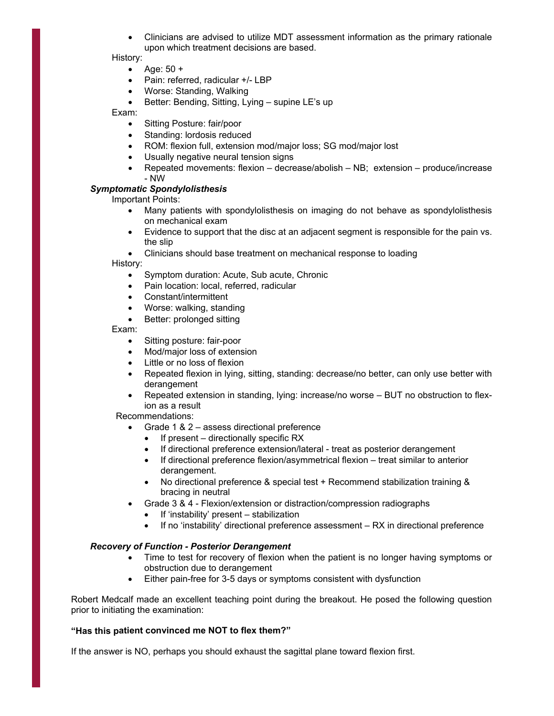Clinicians are advised to utilize MDT assessment information as the primary rationale upon which treatment decisions are based.

History:

- Age:  $50 +$
- Pain: referred, radicular +/- LBP
- Worse: Standing, Walking
- Better: Bending, Sitting, Lying supine LE's up

Exam:

- Sitting Posture: fair/poor
- Standing: lordosis reduced
- ROM: flexion full, extension mod/major loss; SG mod/major lost
- Usually negative neural tension signs
- Repeated movements: flexion decrease/abolish NB; extension produce/increase - NW

## *Symptomatic Spondylolisthesis*

Important Points:

- Many patients with spondylolisthesis on imaging do not behave as spondylolisthesis on mechanical exam
- Evidence to support that the disc at an adjacent segment is responsible for the pain vs. the slip
- Clinicians should base treatment on mechanical response to loading

History:

- Symptom duration: Acute, Sub acute, Chronic
- Pain location: local, referred, radicular
- Constant/intermittent
- Worse: walking, standing
- Better: prolonged sitting

Exam:

- Sitting posture: fair-poor
- Mod/major loss of extension
- Little or no loss of flexion
- Repeated flexion in lying, sitting, standing: decrease/no better, can only use better with derangement
- Repeated extension in standing, lying: increase/no worse BUT no obstruction to flexion as a result

Recommendations:

- Grade 1 & 2 assess directional preference
	- $\bullet$  If present directionally specific RX
	- If directional preference extension/lateral treat as posterior derangement
	- If directional preference flexion/asymmetrical flexion treat similar to anterior derangement.
	- No directional preference & special test + Recommend stabilization training & bracing in neutral
- Grade 3 & 4 Flexion/extension or distraction/compression radiographs
	- If 'instability' present stabilization
	- If no 'instability' directional preference assessment RX in directional preference

### *Recovery of Function - Posterior Derangement*

- Time to test for recovery of flexion when the patient is no longer having symptoms or obstruction due to derangement
- Either pain-free for 3-5 days or symptoms consistent with dysfunction

Robert Medcalf made an excellent teaching point during the breakout. He posed the following question prior to initiating the examination:

## **"Has this patient convinced me NOT to flex them?"**

If the answer is NO, perhaps you should exhaust the sagittal plane toward flexion first.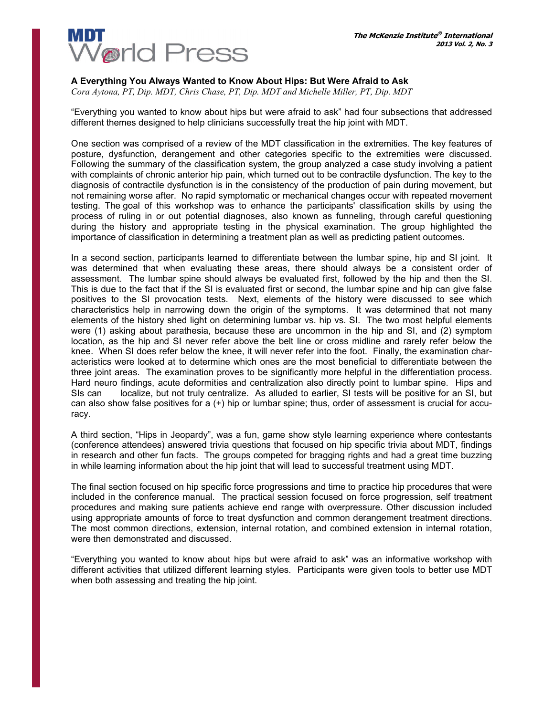## **A Everything You Always Wanted to Know About Hips: But Were Afraid to Ask**

*Cora Aytona, PT, Dip. MDT, Chris Chase, PT, Dip. MDT and Michelle Miller, PT, Dip. MDT* 

"Everything you wanted to know about hips but were afraid to ask" had four subsections that addressed different themes designed to help clinicians successfully treat the hip joint with MDT.

One section was comprised of a review of the MDT classification in the extremities. The key features of posture, dysfunction, derangement and other categories specific to the extremities were discussed. Following the summary of the classification system, the group analyzed a case study involving a patient with complaints of chronic anterior hip pain, which turned out to be contractile dysfunction. The key to the diagnosis of contractile dysfunction is in the consistency of the production of pain during movement, but not remaining worse after. No rapid symptomatic or mechanical changes occur with repeated movement testing. The goal of this workshop was to enhance the participants' classification skills by using the process of ruling in or out potential diagnoses, also known as funneling, through careful questioning during the history and appropriate testing in the physical examination. The group highlighted the importance of classification in determining a treatment plan as well as predicting patient outcomes.

In a second section, participants learned to differentiate between the lumbar spine, hip and SI joint. It was determined that when evaluating these areas, there should always be a consistent order of assessment. The lumbar spine should always be evaluated first, followed by the hip and then the SI. This is due to the fact that if the SI is evaluated first or second, the lumbar spine and hip can give false positives to the SI provocation tests. Next, elements of the history were discussed to see which characteristics help in narrowing down the origin of the symptoms. It was determined that not many elements of the history shed light on determining lumbar vs. hip vs. SI. The two most helpful elements were (1) asking about parathesia, because these are uncommon in the hip and SI, and (2) symptom location, as the hip and SI never refer above the belt line or cross midline and rarely refer below the knee. When SI does refer below the knee, it will never refer into the foot. Finally, the examination characteristics were looked at to determine which ones are the most beneficial to differentiate between the three joint areas. The examination proves to be significantly more helpful in the differentiation process. Hard neuro findings, acute deformities and centralization also directly point to lumbar spine. Hips and SIs can localize, but not truly centralize. As alluded to earlier, SI tests will be positive for an SI, but can also show false positives for a (+) hip or lumbar spine; thus, order of assessment is crucial for accuracy.

A third section, "Hips in Jeopardy", was a fun, game show style learning experience where contestants (conference attendees) answered trivia questions that focused on hip specific trivia about MDT, findings in research and other fun facts. The groups competed for bragging rights and had a great time buzzing in while learning information about the hip joint that will lead to successful treatment using MDT.

The final section focused on hip specific force progressions and time to practice hip procedures that were included in the conference manual. The practical session focused on force progression, self treatment procedures and making sure patients achieve end range with overpressure. Other discussion included using appropriate amounts of force to treat dysfunction and common derangement treatment directions. The most common directions, extension, internal rotation, and combined extension in internal rotation, were then demonstrated and discussed.

"Everything you wanted to know about hips but were afraid to ask" was an informative workshop with different activities that utilized different learning styles. Participants were given tools to better use MDT when both assessing and treating the hip joint.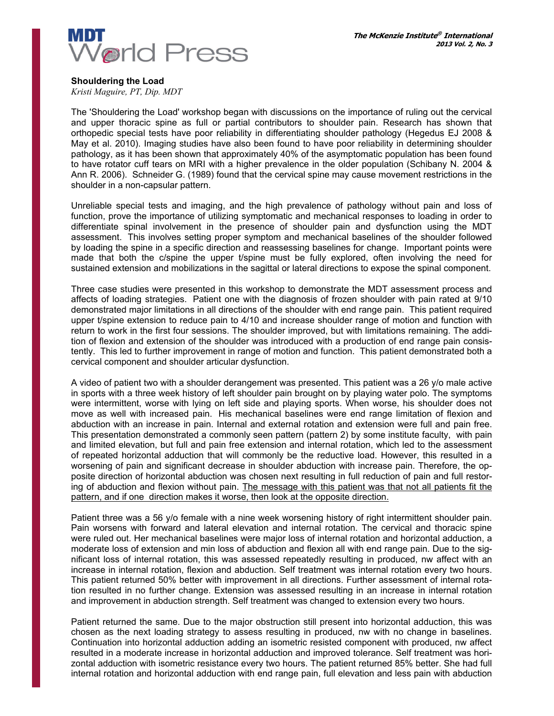

## **Shouldering the Load**

*Kristi Maguire, PT, Dip. MDT* 

The 'Shouldering the Load' workshop began with discussions on the importance of ruling out the cervical and upper thoracic spine as full or partial contributors to shoulder pain. Research has shown that orthopedic special tests have poor reliability in differentiating shoulder pathology (Hegedus EJ 2008 & May et al. 2010). Imaging studies have also been found to have poor reliability in determining shoulder pathology, as it has been shown that approximately 40% of the asymptomatic population has been found to have rotator cuff tears on MRI with a higher prevalence in the older population (Schibany N. 2004 & Ann R. 2006). Schneider G. (1989) found that the cervical spine may cause movement restrictions in the shoulder in a non-capsular pattern.

Unreliable special tests and imaging, and the high prevalence of pathology without pain and loss of function, prove the importance of utilizing symptomatic and mechanical responses to loading in order to differentiate spinal involvement in the presence of shoulder pain and dysfunction using the MDT assessment. This involves setting proper symptom and mechanical baselines of the shoulder followed by loading the spine in a specific direction and reassessing baselines for change. Important points were made that both the c/spine the upper t/spine must be fully explored, often involving the need for sustained extension and mobilizations in the sagittal or lateral directions to expose the spinal component.

Three case studies were presented in this workshop to demonstrate the MDT assessment process and affects of loading strategies. Patient one with the diagnosis of frozen shoulder with pain rated at 9/10 demonstrated major limitations in all directions of the shoulder with end range pain. This patient required upper t/spine extension to reduce pain to 4/10 and increase shoulder range of motion and function with return to work in the first four sessions. The shoulder improved, but with limitations remaining. The addition of flexion and extension of the shoulder was introduced with a production of end range pain consistently. This led to further improvement in range of motion and function. This patient demonstrated both a cervical component and shoulder articular dysfunction.

A video of patient two with a shoulder derangement was presented. This patient was a 26 y/o male active in sports with a three week history of left shoulder pain brought on by playing water polo. The symptoms were intermittent, worse with lying on left side and playing sports. When worse, his shoulder does not move as well with increased pain. His mechanical baselines were end range limitation of flexion and abduction with an increase in pain. Internal and external rotation and extension were full and pain free. This presentation demonstrated a commonly seen pattern (pattern 2) by some institute faculty, with pain and limited elevation, but full and pain free extension and internal rotation, which led to the assessment of repeated horizontal adduction that will commonly be the reductive load. However, this resulted in a worsening of pain and significant decrease in shoulder abduction with increase pain. Therefore, the opposite direction of horizontal abduction was chosen next resulting in full reduction of pain and full restoring of abduction and flexion without pain. The message with this patient was that not all patients fit the pattern, and if one direction makes it worse, then look at the opposite direction.

Patient three was a 56 y/o female with a nine week worsening history of right intermittent shoulder pain. Pain worsens with forward and lateral elevation and internal rotation. The cervical and thoracic spine were ruled out. Her mechanical baselines were major loss of internal rotation and horizontal adduction, a moderate loss of extension and min loss of abduction and flexion all with end range pain. Due to the significant loss of internal rotation, this was assessed repeatedly resulting in produced, nw affect with an increase in internal rotation, flexion and abduction. Self treatment was internal rotation every two hours. This patient returned 50% better with improvement in all directions. Further assessment of internal rotation resulted in no further change. Extension was assessed resulting in an increase in internal rotation and improvement in abduction strength. Self treatment was changed to extension every two hours.

Patient returned the same. Due to the major obstruction still present into horizontal adduction, this was chosen as the next loading strategy to assess resulting in produced, nw with no change in baselines. Continuation into horizontal adduction adding an isometric resisted component with produced, nw affect resulted in a moderate increase in horizontal adduction and improved tolerance. Self treatment was horizontal adduction with isometric resistance every two hours. The patient returned 85% better. She had full internal rotation and horizontal adduction with end range pain, full elevation and less pain with abduction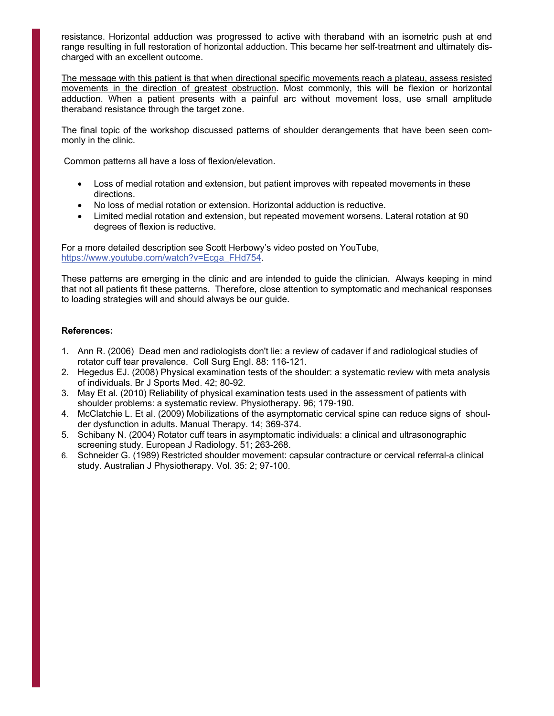resistance. Horizontal adduction was progressed to active with theraband with an isometric push at end range resulting in full restoration of horizontal adduction. This became her self-treatment and ultimately discharged with an excellent outcome.

The message with this patient is that when directional specific movements reach a plateau, assess resisted movements in the direction of greatest obstruction. Most commonly, this will be flexion or horizontal adduction. When a patient presents with a painful arc without movement loss, use small amplitude theraband resistance through the target zone.

The final topic of the workshop discussed patterns of shoulder derangements that have been seen commonly in the clinic.

Common patterns all have a loss of flexion/elevation.

- Loss of medial rotation and extension, but patient improves with repeated movements in these directions.
- No loss of medial rotation or extension. Horizontal adduction is reductive.
- Limited medial rotation and extension, but repeated movement worsens. Lateral rotation at 90 degrees of flexion is reductive.

For a more detailed description see Scott Herbowy's video posted on YouTube, [https://www.youtube.com/watch?v=Ecga\\_FHd754](https://www.youtube.com/watch?v=Ecga_FHd754).

These patterns are emerging in the clinic and are intended to guide the clinician. Always keeping in mind that not all patients fit these patterns. Therefore, close attention to symptomatic and mechanical responses to loading strategies will and should always be our guide.

## **References:**

- 1. Ann R. (2006) Dead men and radiologists don't lie: a review of cadaver if and radiological studies of rotator cuff tear prevalence. Coll Surg Engl. 88: 116-121.
- 2. Hegedus EJ. (2008) Physical examination tests of the shoulder: a systematic review with meta analysis of individuals. Br J Sports Med. 42; 80-92.
- 3. May Et al. (2010) Reliability of physical examination tests used in the assessment of patients with shoulder problems: a systematic review. Physiotherapy. 96; 179-190.
- 4. McClatchie L. Et al. (2009) Mobilizations of the asymptomatic cervical spine can reduce signs of shoulder dysfunction in adults. Manual Therapy. 14; 369-374.
- 5. Schibany N. (2004) Rotator cuff tears in asymptomatic individuals: a clinical and ultrasonographic screening study. European J Radiology. 51; 263-268.
- 6. Schneider G. (1989) Restricted shoulder movement: capsular contracture or cervical referral-a clinical study. Australian J Physiotherapy. Vol. 35: 2; 97-100.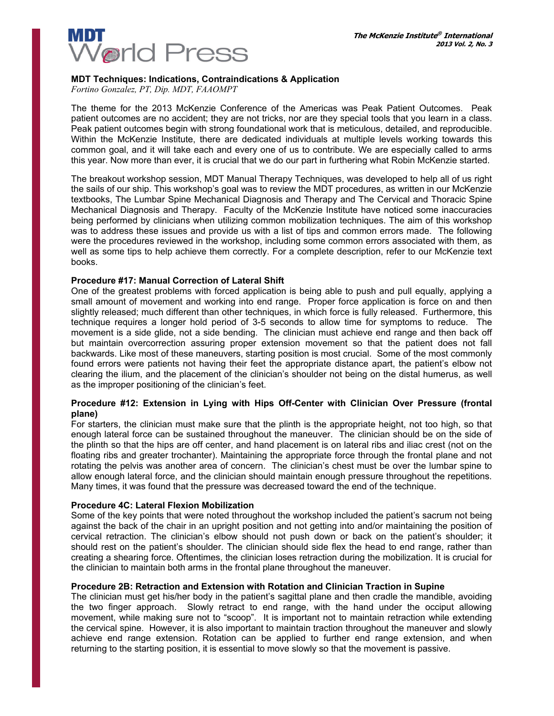

## **MDT Techniques: Indications, Contraindications & Application**

*Fortino Gonzalez, PT, Dip. MDT, FAAOMPT* 

The theme for the 2013 McKenzie Conference of the Americas was Peak Patient Outcomes. Peak patient outcomes are no accident; they are not tricks, nor are they special tools that you learn in a class. Peak patient outcomes begin with strong foundational work that is meticulous, detailed, and reproducible. Within the McKenzie Institute, there are dedicated individuals at multiple levels working towards this common goal, and it will take each and every one of us to contribute. We are especially called to arms this year. Now more than ever, it is crucial that we do our part in furthering what Robin McKenzie started.

The breakout workshop session, MDT Manual Therapy Techniques, was developed to help all of us right the sails of our ship. This workshop's goal was to review the MDT procedures, as written in our McKenzie textbooks, The Lumbar Spine Mechanical Diagnosis and Therapy and The Cervical and Thoracic Spine Mechanical Diagnosis and Therapy. Faculty of the McKenzie Institute have noticed some inaccuracies being performed by clinicians when utilizing common mobilization techniques. The aim of this workshop was to address these issues and provide us with a list of tips and common errors made. The following were the procedures reviewed in the workshop, including some common errors associated with them, as well as some tips to help achieve them correctly. For a complete description, refer to our McKenzie text books.

### **Procedure #17: Manual Correction of Lateral Shift**

One of the greatest problems with forced application is being able to push and pull equally, applying a small amount of movement and working into end range. Proper force application is force on and then slightly released; much different than other techniques, in which force is fully released. Furthermore, this technique requires a longer hold period of 3-5 seconds to allow time for symptoms to reduce. The movement is a side glide, not a side bending. The clinician must achieve end range and then back off but maintain overcorrection assuring proper extension movement so that the patient does not fall backwards. Like most of these maneuvers, starting position is most crucial. Some of the most commonly found errors were patients not having their feet the appropriate distance apart, the patient's elbow not clearing the ilium, and the placement of the clinician's shoulder not being on the distal humerus, as well as the improper positioning of the clinician's feet.

### **Procedure #12: Extension in Lying with Hips Off-Center with Clinician Over Pressure (frontal plane)**

For starters, the clinician must make sure that the plinth is the appropriate height, not too high, so that enough lateral force can be sustained throughout the maneuver. The clinician should be on the side of the plinth so that the hips are off center, and hand placement is on lateral ribs and iliac crest (not on the floating ribs and greater trochanter). Maintaining the appropriate force through the frontal plane and not rotating the pelvis was another area of concern. The clinician's chest must be over the lumbar spine to allow enough lateral force, and the clinician should maintain enough pressure throughout the repetitions. Many times, it was found that the pressure was decreased toward the end of the technique.

### **Procedure 4C: Lateral Flexion Mobilization**

Some of the key points that were noted throughout the workshop included the patient's sacrum not being against the back of the chair in an upright position and not getting into and/or maintaining the position of cervical retraction. The clinician's elbow should not push down or back on the patient's shoulder; it should rest on the patient's shoulder. The clinician should side flex the head to end range, rather than creating a shearing force. Oftentimes, the clinician loses retraction during the mobilization. It is crucial for the clinician to maintain both arms in the frontal plane throughout the maneuver.

### **Procedure 2B: Retraction and Extension with Rotation and Clinician Traction in Supine**

The clinician must get his/her body in the patient's sagittal plane and then cradle the mandible, avoiding the two finger approach. Slowly retract to end range, with the hand under the occiput allowing movement, while making sure not to "scoop". It is important not to maintain retraction while extending the cervical spine. However, it is also important to maintain traction throughout the maneuver and slowly achieve end range extension. Rotation can be applied to further end range extension, and when returning to the starting position, it is essential to move slowly so that the movement is passive.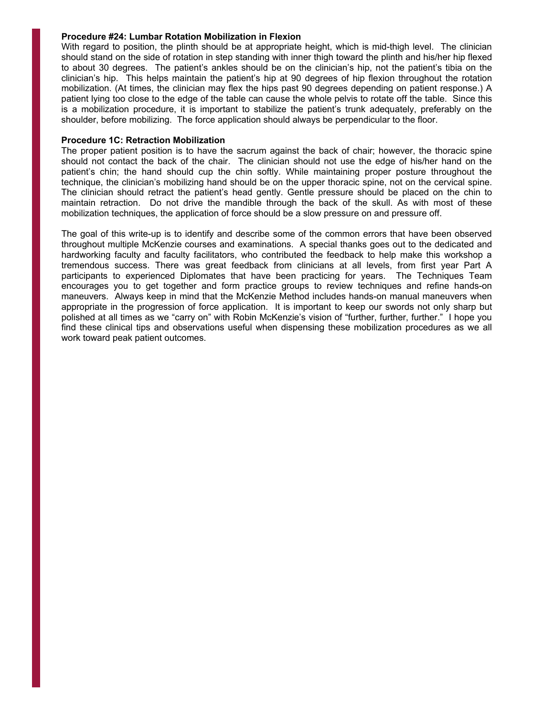### **Procedure #24: Lumbar Rotation Mobilization in Flexion**

With regard to position, the plinth should be at appropriate height, which is mid-thigh level. The clinician should stand on the side of rotation in step standing with inner thigh toward the plinth and his/her hip flexed to about 30 degrees. The patient's ankles should be on the clinician's hip, not the patient's tibia on the clinician's hip. This helps maintain the patient's hip at 90 degrees of hip flexion throughout the rotation mobilization. (At times, the clinician may flex the hips past 90 degrees depending on patient response.) A patient lying too close to the edge of the table can cause the whole pelvis to rotate off the table. Since this is a mobilization procedure, it is important to stabilize the patient's trunk adequately, preferably on the shoulder, before mobilizing. The force application should always be perpendicular to the floor.

### **Procedure 1C: Retraction Mobilization**

The proper patient position is to have the sacrum against the back of chair; however, the thoracic spine should not contact the back of the chair. The clinician should not use the edge of his/her hand on the patient's chin; the hand should cup the chin softly. While maintaining proper posture throughout the technique, the clinician's mobilizing hand should be on the upper thoracic spine, not on the cervical spine. The clinician should retract the patient's head gently. Gentle pressure should be placed on the chin to maintain retraction. Do not drive the mandible through the back of the skull. As with most of these mobilization techniques, the application of force should be a slow pressure on and pressure off.

The goal of this write-up is to identify and describe some of the common errors that have been observed throughout multiple McKenzie courses and examinations. A special thanks goes out to the dedicated and hardworking faculty and faculty facilitators, who contributed the feedback to help make this workshop a tremendous success. There was great feedback from clinicians at all levels, from first year Part A participants to experienced Diplomates that have been practicing for years. The Techniques Team encourages you to get together and form practice groups to review techniques and refine hands-on maneuvers. Always keep in mind that the McKenzie Method includes hands-on manual maneuvers when appropriate in the progression of force application. It is important to keep our swords not only sharp but polished at all times as we "carry on" with Robin McKenzie's vision of "further, further, further." I hope you find these clinical tips and observations useful when dispensing these mobilization procedures as we all work toward peak patient outcomes.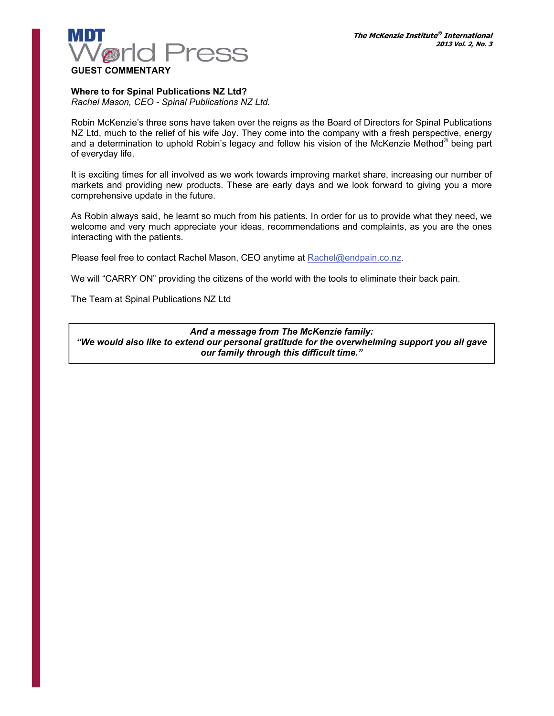

# **Where to for Spinal Publications NZ Ltd?**

*Rachel Mason, CEO - Spinal Publications NZ Ltd.* 

Robin McKenzie's three sons have taken over the reigns as the Board of Directors for Spinal Publications NZ Ltd, much to the relief of his wife Joy. They come into the company with a fresh perspective, energy and a determination to uphold Robin's legacy and follow his vision of the McKenzie Method® being part of everyday life.

It is exciting times for all involved as we work towards improving market share, increasing our number of markets and providing new products. These are early days and we look forward to giving you a more comprehensive update in the future.

As Robin always said, he learnt so much from his patients. In order for us to provide what they need, we welcome and very much appreciate your ideas, recommendations and complaints, as you are the ones interacting with the patients.

Please feel free to contact Rachel Mason, CEO anytime at [Rachel@endpain.co.nz](mailto:Rachel@endpain.co.nz).

We will "CARRY ON" providing the citizens of the world with the tools to eliminate their back pain.

The Team at Spinal Publications NZ Ltd

*And a message from The McKenzie family: "We would also like to extend our personal gratitude for the overwhelming support you all gave our family through this difficult time."*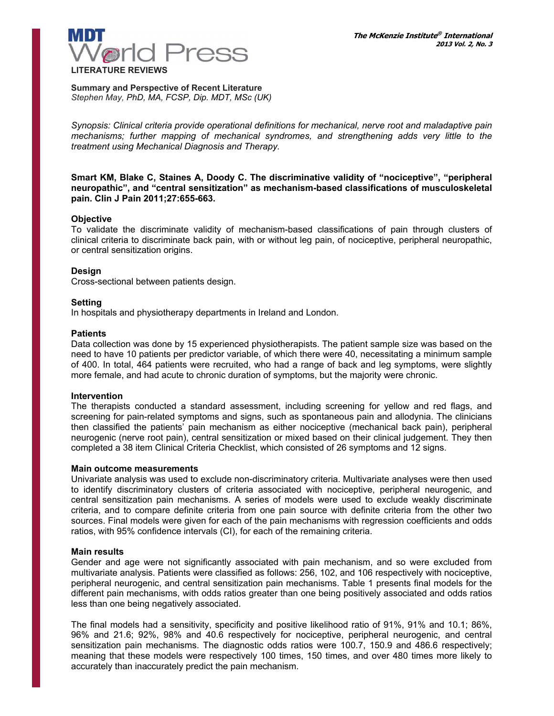

**Summary and Perspective of Recent Literature** *Stephen May, PhD, MA, FCSP, Dip. MDT, MSc (UK)* 

*Synopsis: Clinical criteria provide operational definitions for mechanical, nerve root and maladaptive pain mechanisms; further mapping of mechanical syndromes, and strengthening adds very little to the treatment using Mechanical Diagnosis and Therapy.* 

**Smart KM, Blake C, Staines A, Doody C. The discriminative validity of "nociceptive", "peripheral neuropathic", and "central sensitization" as mechanism-based classifications of musculoskeletal pain. Clin J Pain 2011;27:655-663.** 

### **Objective**

To validate the discriminate validity of mechanism-based classifications of pain through clusters of clinical criteria to discriminate back pain, with or without leg pain, of nociceptive, peripheral neuropathic, or central sensitization origins.

### **Design**

Cross-sectional between patients design.

### **Setting**

In hospitals and physiotherapy departments in Ireland and London.

### **Patients**

Data collection was done by 15 experienced physiotherapists. The patient sample size was based on the need to have 10 patients per predictor variable, of which there were 40, necessitating a minimum sample of 400. In total, 464 patients were recruited, who had a range of back and leg symptoms, were slightly more female, and had acute to chronic duration of symptoms, but the majority were chronic.

### **Intervention**

The therapists conducted a standard assessment, including screening for yellow and red flags, and screening for pain-related symptoms and signs, such as spontaneous pain and allodynia. The clinicians then classified the patients' pain mechanism as either nociceptive (mechanical back pain), peripheral neurogenic (nerve root pain), central sensitization or mixed based on their clinical judgement. They then completed a 38 item Clinical Criteria Checklist, which consisted of 26 symptoms and 12 signs.

### **Main outcome measurements**

Univariate analysis was used to exclude non-discriminatory criteria. Multivariate analyses were then used to identify discriminatory clusters of criteria associated with nociceptive, peripheral neurogenic, and central sensitization pain mechanisms. A series of models were used to exclude weakly discriminate criteria, and to compare definite criteria from one pain source with definite criteria from the other two sources. Final models were given for each of the pain mechanisms with regression coefficients and odds ratios, with 95% confidence intervals (CI), for each of the remaining criteria.

### **Main results**

Gender and age were not significantly associated with pain mechanism, and so were excluded from multivariate analysis. Patients were classified as follows: 256, 102, and 106 respectively with nociceptive, peripheral neurogenic, and central sensitization pain mechanisms. Table 1 presents final models for the different pain mechanisms, with odds ratios greater than one being positively associated and odds ratios less than one being negatively associated.

The final models had a sensitivity, specificity and positive likelihood ratio of 91%, 91% and 10.1; 86%, 96% and 21.6; 92%, 98% and 40.6 respectively for nociceptive, peripheral neurogenic, and central sensitization pain mechanisms. The diagnostic odds ratios were 100.7, 150.9 and 486.6 respectively; meaning that these models were respectively 100 times, 150 times, and over 480 times more likely to accurately than inaccurately predict the pain mechanism.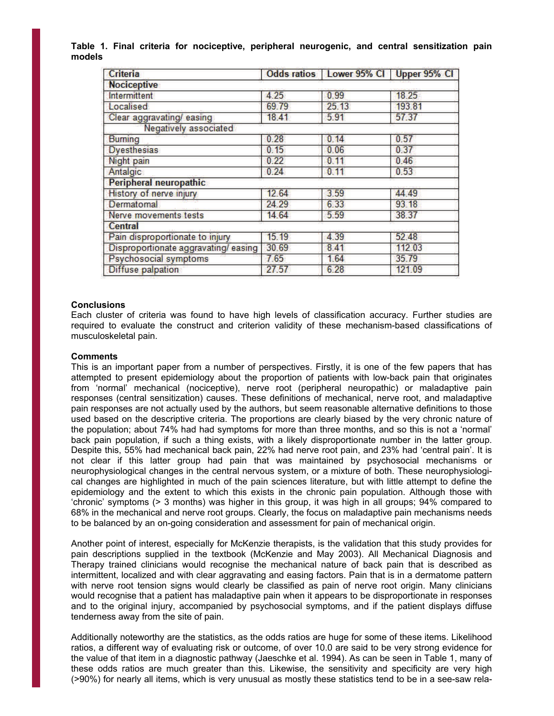| Criteria                            |       | Odds ratios   Lower 95% CI   Upper 95% CI |        |
|-------------------------------------|-------|-------------------------------------------|--------|
| <b>Nociceptive</b>                  |       |                                           |        |
| Intermittent                        | 4.25  | 0.99                                      | 18.25  |
| Localised                           | 69.79 | 25.13                                     | 193.81 |
| Clear aggravating/easing            | 18.41 | 5.91                                      | 57.37  |
| Negatively associated               |       |                                           |        |
| Burning                             | 0.28  | 0.14                                      | 0.57   |
| <b>Dyesthesias</b>                  | 0.15  | 0.06                                      | 0.37   |
| Night pain                          | 0.22  | 0.11                                      | 0.46   |
| Antalgic                            | 0.24  | 0.11                                      | 0.53   |
| Peripheral neuropathic              |       |                                           |        |
| History of nerve injury             | 12.64 | 3.59                                      | 44 49  |
| Dermatomal                          | 24.29 | 6.33                                      | 93 18  |
| Nerve movements tests               | 14.64 | 5.59                                      | 38.37  |
| Central                             |       |                                           |        |
| Pain disproportionate to injury     | 15.19 | 4.39                                      | 52.48  |
| Disproportionate aggravating/easing | 30.69 | 8.41                                      | 112.03 |
| Psychosocial symptoms               | 7.65  | 1.64                                      | 35.79  |
| Diffuse palpation                   | 27.57 | 6.28                                      | 121.09 |

**Table 1. Final criteria for nociceptive, peripheral neurogenic, and central sensitization pain models** 

### **Conclusions**

Each cluster of criteria was found to have high levels of classification accuracy. Further studies are required to evaluate the construct and criterion validity of these mechanism-based classifications of musculoskeletal pain.

#### **Comments**

This is an important paper from a number of perspectives. Firstly, it is one of the few papers that has attempted to present epidemiology about the proportion of patients with low-back pain that originates from 'normal' mechanical (nociceptive), nerve root (peripheral neuropathic) or maladaptive pain responses (central sensitization) causes. These definitions of mechanical, nerve root, and maladaptive pain responses are not actually used by the authors, but seem reasonable alternative definitions to those used based on the descriptive criteria. The proportions are clearly biased by the very chronic nature of the population; about 74% had had symptoms for more than three months, and so this is not a 'normal' back pain population, if such a thing exists, with a likely disproportionate number in the latter group. Despite this, 55% had mechanical back pain, 22% had nerve root pain, and 23% had 'central pain'. It is not clear if this latter group had pain that was maintained by psychosocial mechanisms or neurophysiological changes in the central nervous system, or a mixture of both. These neurophysiological changes are highlighted in much of the pain sciences literature, but with little attempt to define the epidemiology and the extent to which this exists in the chronic pain population. Although those with 'chronic' symptoms (> 3 months) was higher in this group, it was high in all groups; 94% compared to 68% in the mechanical and nerve root groups. Clearly, the focus on maladaptive pain mechanisms needs to be balanced by an on-going consideration and assessment for pain of mechanical origin.

Another point of interest, especially for McKenzie therapists, is the validation that this study provides for pain descriptions supplied in the textbook (McKenzie and May 2003). All Mechanical Diagnosis and Therapy trained clinicians would recognise the mechanical nature of back pain that is described as intermittent, localized and with clear aggravating and easing factors. Pain that is in a dermatome pattern with nerve root tension signs would clearly be classified as pain of nerve root origin. Many clinicians would recognise that a patient has maladaptive pain when it appears to be disproportionate in responses and to the original injury, accompanied by psychosocial symptoms, and if the patient displays diffuse tenderness away from the site of pain.

Additionally noteworthy are the statistics, as the odds ratios are huge for some of these items. Likelihood ratios, a different way of evaluating risk or outcome, of over 10.0 are said to be very strong evidence for the value of that item in a diagnostic pathway (Jaeschke et al. 1994). As can be seen in Table 1, many of these odds ratios are much greater than this. Likewise, the sensitivity and specificity are very high (>90%) for nearly all items, which is very unusual as mostly these statistics tend to be in a see-saw rela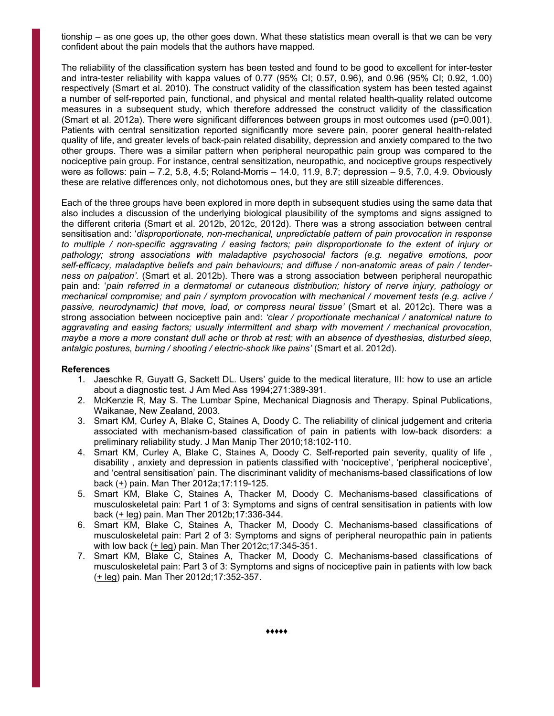tionship – as one goes up, the other goes down. What these statistics mean overall is that we can be very confident about the pain models that the authors have mapped.

The reliability of the classification system has been tested and found to be good to excellent for inter-tester and intra-tester reliability with kappa values of 0.77 (95% CI; 0.57, 0.96), and 0.96 (95% CI; 0.92, 1.00) respectively (Smart et al. 2010). The construct validity of the classification system has been tested against a number of self-reported pain, functional, and physical and mental related health-quality related outcome measures in a subsequent study, which therefore addressed the construct validity of the classification (Smart et al. 2012a). There were significant differences between groups in most outcomes used (p=0.001). Patients with central sensitization reported significantly more severe pain, poorer general health-related quality of life, and greater levels of back-pain related disability, depression and anxiety compared to the two other groups. There was a similar pattern when peripheral neuropathic pain group was compared to the nociceptive pain group. For instance, central sensitization, neuropathic, and nociceptive groups respectively were as follows: pain – 7.2, 5.8, 4.5; Roland-Morris – 14.0, 11.9, 8.7; depression – 9.5, 7.0, 4.9. Obviously these are relative differences only, not dichotomous ones, but they are still sizeable differences.

Each of the three groups have been explored in more depth in subsequent studies using the same data that also includes a discussion of the underlying biological plausibility of the symptoms and signs assigned to the different criteria (Smart et al. 2012b, 2012c, 2012d). There was a strong association between central sensitisation and: '*disproportionate, non-mechanical, unpredictable pattern of pain provocation in response to multiple / non-specific aggravating / easing factors; pain disproportionate to the extent of injury or pathology; strong associations with maladaptive psychosocial factors (e.g. negative emotions, poor self-efficacy, maladaptive beliefs and pain behaviours; and diffuse / non-anatomic areas of pain / tenderness on palpation'.* (Smart et al. 2012b). There was a strong association between peripheral neuropathic pain and: '*pain referred in a dermatomal or cutaneous distribution; history of nerve injury, pathology or mechanical compromise; and pain / symptom provocation with mechanical / movement tests (e.g. active /*  passive, neurodynamic) that move, load, or compress neural tissue' (Smart et al. 2012c). There was a strong association between nociceptive pain and: *'clear / proportionate mechanical / anatomical nature to aggravating and easing factors; usually intermittent and sharp with movement / mechanical provocation, maybe a more a more constant dull ache or throb at rest; with an absence of dyesthesias, disturbed sleep, antalgic postures, burning / shooting / electric-shock like pains'* (Smart et al. 2012d).

### **References**

- 1. Jaeschke R, Guyatt G, Sackett DL. Users' guide to the medical literature, III: how to use an article about a diagnostic test. J Am Med Ass 1994;271:389-391.
- 2. McKenzie R, May S. The Lumbar Spine, Mechanical Diagnosis and Therapy. Spinal Publications, Waikanae, New Zealand, 2003.
- 3. Smart KM, Curley A, Blake C, Staines A, Doody C. The reliability of clinical judgement and criteria associated with mechanism-based classification of pain in patients with low-back disorders: a preliminary reliability study. J Man Manip Ther 2010;18:102-110.
- 4. Smart KM, Curley A, Blake C, Staines A, Doody C. Self-reported pain severity, quality of life , disability , anxiety and depression in patients classified with 'nociceptive', 'peripheral nociceptive', and 'central sensitisation' pain. The discriminant validity of mechanisms-based classifications of low back (+) pain. Man Ther 2012a;17:119-125.
- 5. Smart KM, Blake C, Staines A, Thacker M, Doody C. Mechanisms-based classifications of musculoskeletal pain: Part 1 of 3: Symptoms and signs of central sensitisation in patients with low back (+ leg) pain. Man Ther 2012b;17:336-344.
- 6. Smart KM, Blake C, Staines A, Thacker M, Doody C. Mechanisms-based classifications of musculoskeletal pain: Part 2 of 3: Symptoms and signs of peripheral neuropathic pain in patients with low back (+ leg) pain. Man Ther 2012c;17:345-351.
- 7. Smart KM, Blake C, Staines A, Thacker M, Doody C. Mechanisms-based classifications of musculoskeletal pain: Part 3 of 3: Symptoms and signs of nociceptive pain in patients with low back (+ leg) pain. Man Ther 2012d;17:352-357.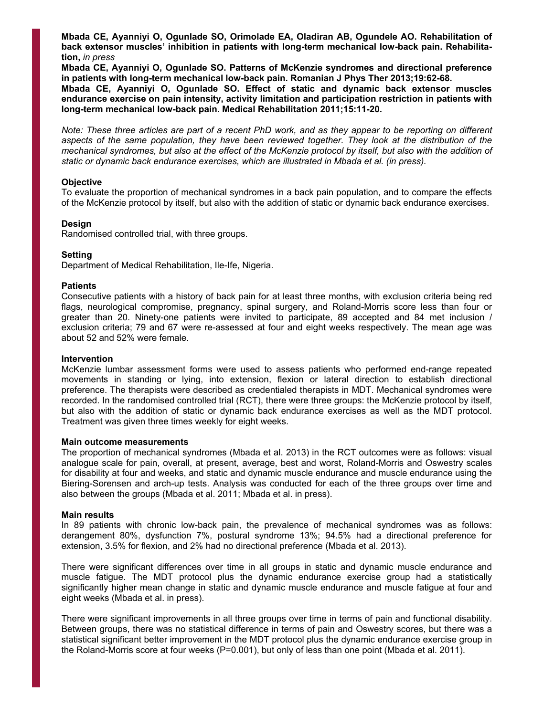**Mbada CE, Ayanniyi O, Ogunlade SO, Orimolade EA, Oladiran AB, Ogundele AO. Rehabilitation of back extensor muscles' inhibition in patients with long-term mechanical low-back pain. Rehabilitation,** *in press* 

**Mbada CE, Ayanniyi O, Ogunlade SO. Patterns of McKenzie syndromes and directional preference in patients with long-term mechanical low-back pain. Romanian J Phys Ther 2013;19:62-68.** 

**Mbada CE, Ayanniyi O, Ogunlade SO. Effect of static and dynamic back extensor muscles endurance exercise on pain intensity, activity limitation and participation restriction in patients with long-term mechanical low-back pain. Medical Rehabilitation 2011;15:11-20.** 

*Note: These three articles are part of a recent PhD work, and as they appear to be reporting on different aspects of the same population, they have been reviewed together. They look at the distribution of the mechanical syndromes, but also at the effect of the McKenzie protocol by itself, but also with the addition of static or dynamic back endurance exercises, which are illustrated in Mbada et al. (in press).* 

### **Objective**

To evaluate the proportion of mechanical syndromes in a back pain population, and to compare the effects of the McKenzie protocol by itself, but also with the addition of static or dynamic back endurance exercises.

### **Design**

Randomised controlled trial, with three groups.

### **Setting**

Department of Medical Rehabilitation, Ile-Ife, Nigeria.

### **Patients**

Consecutive patients with a history of back pain for at least three months, with exclusion criteria being red flags, neurological compromise, pregnancy, spinal surgery, and Roland-Morris score less than four or greater than 20. Ninety-one patients were invited to participate, 89 accepted and 84 met inclusion / exclusion criteria; 79 and 67 were re-assessed at four and eight weeks respectively. The mean age was about 52 and 52% were female.

### **Intervention**

McKenzie lumbar assessment forms were used to assess patients who performed end-range repeated movements in standing or lying, into extension, flexion or lateral direction to establish directional preference. The therapists were described as credentialed therapists in MDT. Mechanical syndromes were recorded. In the randomised controlled trial (RCT), there were three groups: the McKenzie protocol by itself, but also with the addition of static or dynamic back endurance exercises as well as the MDT protocol. Treatment was given three times weekly for eight weeks.

### **Main outcome measurements**

The proportion of mechanical syndromes (Mbada et al. 2013) in the RCT outcomes were as follows: visual analogue scale for pain, overall, at present, average, best and worst, Roland-Morris and Oswestry scales for disability at four and weeks, and static and dynamic muscle endurance and muscle endurance using the Biering-Sorensen and arch-up tests. Analysis was conducted for each of the three groups over time and also between the groups (Mbada et al. 2011; Mbada et al. in press).

### **Main results**

In 89 patients with chronic low-back pain, the prevalence of mechanical syndromes was as follows: derangement 80%, dysfunction 7%, postural syndrome 13%; 94.5% had a directional preference for extension, 3.5% for flexion, and 2% had no directional preference (Mbada et al. 2013).

There were significant differences over time in all groups in static and dynamic muscle endurance and muscle fatigue. The MDT protocol plus the dynamic endurance exercise group had a statistically significantly higher mean change in static and dynamic muscle endurance and muscle fatigue at four and eight weeks (Mbada et al. in press).

There were significant improvements in all three groups over time in terms of pain and functional disability. Between groups, there was no statistical difference in terms of pain and Oswestry scores, but there was a statistical significant better improvement in the MDT protocol plus the dynamic endurance exercise group in the Roland-Morris score at four weeks (P=0.001), but only of less than one point (Mbada et al. 2011).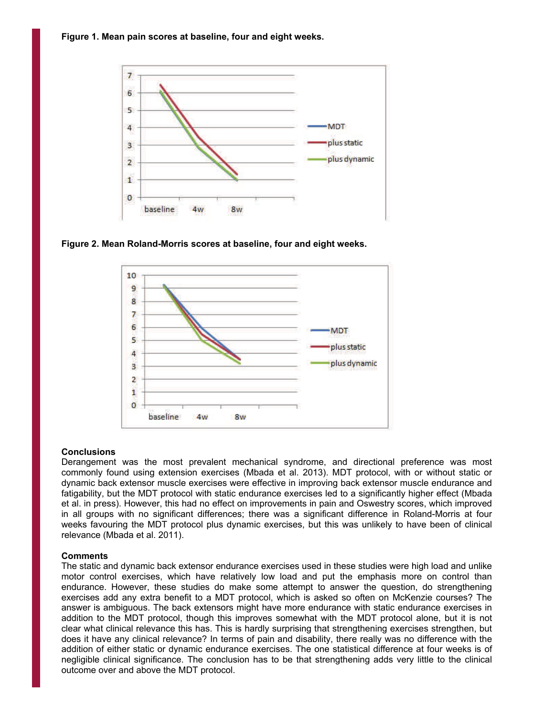

**Figure 2. Mean Roland-Morris scores at baseline, four and eight weeks.** 



### **Conclusions**

Derangement was the most prevalent mechanical syndrome, and directional preference was most commonly found using extension exercises (Mbada et al. 2013). MDT protocol, with or without static or dynamic back extensor muscle exercises were effective in improving back extensor muscle endurance and fatigability, but the MDT protocol with static endurance exercises led to a significantly higher effect (Mbada et al. in press). However, this had no effect on improvements in pain and Oswestry scores, which improved in all groups with no significant differences; there was a significant difference in Roland-Morris at four weeks favouring the MDT protocol plus dynamic exercises, but this was unlikely to have been of clinical relevance (Mbada et al. 2011).

### **Comments**

The static and dynamic back extensor endurance exercises used in these studies were high load and unlike motor control exercises, which have relatively low load and put the emphasis more on control than endurance. However, these studies do make some attempt to answer the question, do strengthening exercises add any extra benefit to a MDT protocol, which is asked so often on McKenzie courses? The answer is ambiguous. The back extensors might have more endurance with static endurance exercises in addition to the MDT protocol, though this improves somewhat with the MDT protocol alone, but it is not clear what clinical relevance this has. This is hardly surprising that strengthening exercises strengthen, but does it have any clinical relevance? In terms of pain and disability, there really was no difference with the addition of either static or dynamic endurance exercises. The one statistical difference at four weeks is of negligible clinical significance. The conclusion has to be that strengthening adds very little to the clinical outcome over and above the MDT protocol.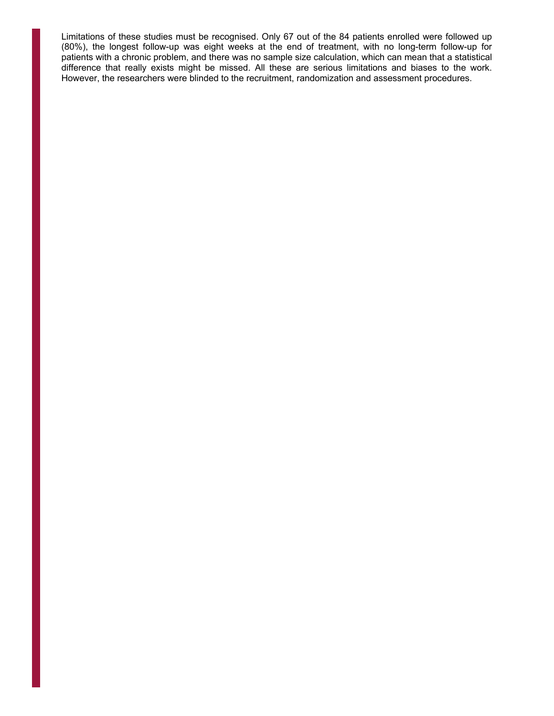Limitations of these studies must be recognised. Only 67 out of the 84 patients enrolled were followed up (80%), the longest follow-up was eight weeks at the end of treatment, with no long-term follow-up for patients with a chronic problem, and there was no sample size calculation, which can mean that a statistical difference that really exists might be missed. All these are serious limitations and biases to the work. However, the researchers were blinded to the recruitment, randomization and assessment procedures.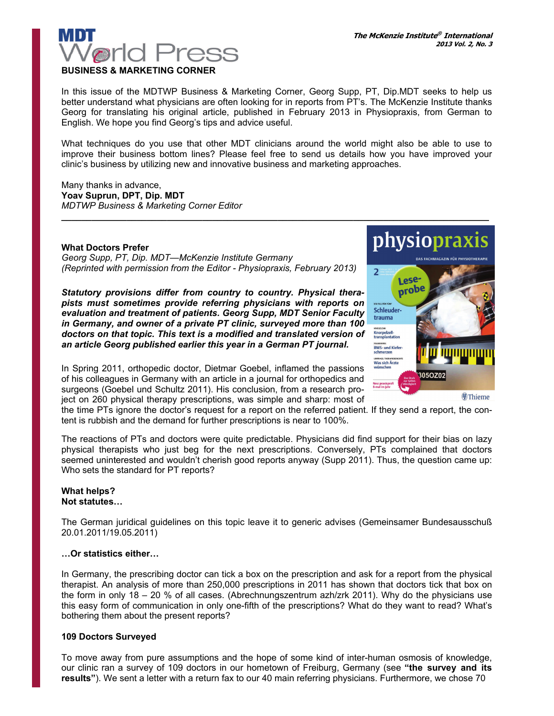

### **BUSINESS & MARKETING CORNER**

In this issue of the MDTWP Business & Marketing Corner, Georg Supp, PT, Dip.MDT seeks to help us better understand what physicians are often looking for in reports from PT's. The McKenzie Institute thanks Georg for translating his original article, published in February 2013 in Physiopraxis, from German to English. We hope you find Georg's tips and advice useful.

What techniques do you use that other MDT clinicians around the world might also be able to use to improve their business bottom lines? Please feel free to send us details how you have improved your clinic's business by utilizing new and innovative business and marketing approaches.

Many thanks in advance, **Yoav Suprun, DPT, Dip. MDT** *MDTWP Business & Marketing Corner Editor*

### **What Doctors Prefer**

*Georg Supp, PT, Dip. MDT—McKenzie Institute Germany (Reprinted with permission from the Editor - Physiopraxis, February 2013)* 

*Statutory provisions differ from country to country. Physical therapists must sometimes provide referring physicians with reports on evaluation and treatment of patients. Georg Supp, MDT Senior Faculty in Germany, and owner of a private PT clinic, surveyed more than 100 doctors on that topic. This text is a modified and translated version of an article Georg published earlier this year in a German PT journal.* 

In Spring 2011, orthopedic doctor, Dietmar Goebel, inflamed the passions of his colleagues in Germany with an article in a journal for orthopedics and surgeons (Goebel und Schultz 2011). His conclusion, from a research project on 260 physical therapy prescriptions, was simple and sharp: most of



**<sup>第</sup>Thieme** 

the time PTs ignore the doctor's request for a report on the referred patient. If they send a report, the content is rubbish and the demand for further prescriptions is near to 100%.

The reactions of PTs and doctors were quite predictable. Physicians did find support for their bias on lazy physical therapists who just beg for the next prescriptions. Conversely, PTs complained that doctors seemed uninterested and wouldn't cherish good reports anyway (Supp 2011). Thus, the question came up: Who sets the standard for PT reports?

#### **What helps? Not statutes…**

The German juridical guidelines on this topic leave it to generic advises (Gemeinsamer Bundesausschuß 20.01.2011/19.05.2011)

### **…Or statistics either…**

In Germany, the prescribing doctor can tick a box on the prescription and ask for a report from the physical therapist. An analysis of more than 250,000 prescriptions in 2011 has shown that doctors tick that box on the form in only 18 – 20 % of all cases. (Abrechnungszentrum azh/zrk 2011). Why do the physicians use this easy form of communication in only one-fifth of the prescriptions? What do they want to read? What's bothering them about the present reports?

### **109 Doctors Surveyed**

To move away from pure assumptions and the hope of some kind of inter-human osmosis of knowledge, our clinic ran a survey of 109 doctors in our hometown of Freiburg, Germany (see **"the survey and its results"**). We sent a letter with a return fax to our 40 main referring physicians. Furthermore, we chose 70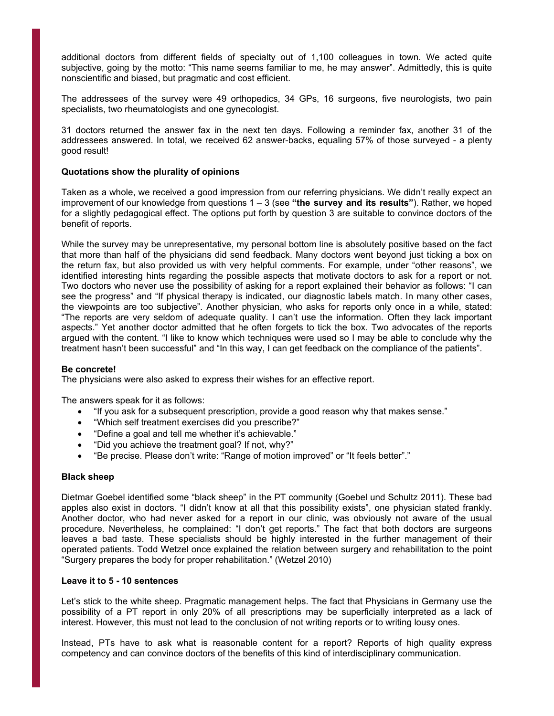additional doctors from different fields of specialty out of 1,100 colleagues in town. We acted quite subjective, going by the motto: "This name seems familiar to me, he may answer". Admittedly, this is quite nonscientific and biased, but pragmatic and cost efficient.

The addressees of the survey were 49 orthopedics, 34 GPs, 16 surgeons, five neurologists, two pain specialists, two rheumatologists and one gynecologist.

31 doctors returned the answer fax in the next ten days. Following a reminder fax, another 31 of the addressees answered. In total, we received 62 answer-backs, equaling 57% of those surveyed - a plenty good result!

### **Quotations show the plurality of opinions**

Taken as a whole, we received a good impression from our referring physicians. We didn't really expect an improvement of our knowledge from questions 1 – 3 (see **"the survey and its results"**). Rather, we hoped for a slightly pedagogical effect. The options put forth by question 3 are suitable to convince doctors of the benefit of reports.

While the survey may be unrepresentative, my personal bottom line is absolutely positive based on the fact that more than half of the physicians did send feedback. Many doctors went beyond just ticking a box on the return fax, but also provided us with very helpful comments. For example, under "other reasons", we identified interesting hints regarding the possible aspects that motivate doctors to ask for a report or not. Two doctors who never use the possibility of asking for a report explained their behavior as follows: "I can see the progress" and "If physical therapy is indicated, our diagnostic labels match. In many other cases, the viewpoints are too subjective". Another physician, who asks for reports only once in a while, stated: "The reports are very seldom of adequate quality. I can't use the information. Often they lack important aspects." Yet another doctor admitted that he often forgets to tick the box. Two advocates of the reports argued with the content. "I like to know which techniques were used so I may be able to conclude why the treatment hasn't been successful" and "In this way, I can get feedback on the compliance of the patients".

### **Be concrete!**

The physicians were also asked to express their wishes for an effective report.

The answers speak for it as follows:

- "If you ask for a subsequent prescription, provide a good reason why that makes sense."
- "Which self treatment exercises did you prescribe?"
- "Define a goal and tell me whether it's achievable."
- "Did you achieve the treatment goal? If not, why?"
- "Be precise. Please don't write: "Range of motion improved" or "It feels better"."

### **Black sheep**

Dietmar Goebel identified some "black sheep" in the PT community (Goebel und Schultz 2011). These bad apples also exist in doctors. "I didn't know at all that this possibility exists", one physician stated frankly. Another doctor, who had never asked for a report in our clinic, was obviously not aware of the usual procedure. Nevertheless, he complained: "I don't get reports." The fact that both doctors are surgeons leaves a bad taste. These specialists should be highly interested in the further management of their operated patients. Todd Wetzel once explained the relation between surgery and rehabilitation to the point "Surgery prepares the body for proper rehabilitation." (Wetzel 2010)

### **Leave it to 5 - 10 sentences**

Let's stick to the white sheep. Pragmatic management helps. The fact that Physicians in Germany use the possibility of a PT report in only 20% of all prescriptions may be superficially interpreted as a lack of interest. However, this must not lead to the conclusion of not writing reports or to writing lousy ones.

Instead, PTs have to ask what is reasonable content for a report? Reports of high quality express competency and can convince doctors of the benefits of this kind of interdisciplinary communication.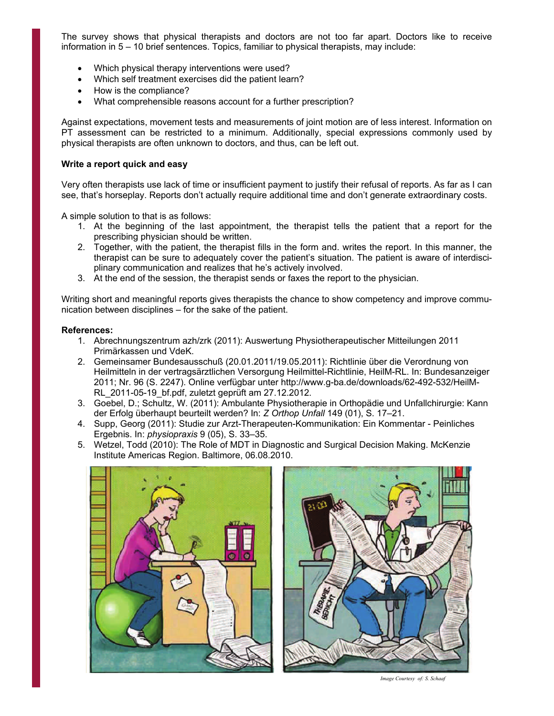The survey shows that physical therapists and doctors are not too far apart. Doctors like to receive information in 5 – 10 brief sentences. Topics, familiar to physical therapists, may include:

- Which physical therapy interventions were used?
- Which self treatment exercises did the patient learn?
- How is the compliance?
- What comprehensible reasons account for a further prescription?

Against expectations, movement tests and measurements of joint motion are of less interest. Information on PT assessment can be restricted to a minimum. Additionally, special expressions commonly used by physical therapists are often unknown to doctors, and thus, can be left out.

## **Write a report quick and easy**

Very often therapists use lack of time or insufficient payment to justify their refusal of reports. As far as I can see, that's horseplay. Reports don't actually require additional time and don't generate extraordinary costs.

A simple solution to that is as follows:

- 1. At the beginning of the last appointment, the therapist tells the patient that a report for the prescribing physician should be written.
- 2. Together, with the patient, the therapist fills in the form and. writes the report. In this manner, the therapist can be sure to adequately cover the patient's situation. The patient is aware of interdisciplinary communication and realizes that he's actively involved.
- 3. At the end of the session, the therapist sends or faxes the report to the physician.

Writing short and meaningful reports gives therapists the chance to show competency and improve communication between disciplines – for the sake of the patient.

## **References:**

- 1. Abrechnungszentrum azh/zrk (2011): Auswertung Physiotherapeutischer Mitteilungen 2011 Primärkassen und VdeK.
- 2. Gemeinsamer Bundesausschuß (20.01.2011/19.05.2011): Richtlinie über die Verordnung von Heilmitteln in der vertragsärztlichen Versorgung Heilmittel-Richtlinie, HeilM-RL. In: Bundesanzeiger 2011; Nr. 96 (S. 2247). Online verfügbar unter http://www.g-ba.de/downloads/62-492-532/HeilM-RL\_2011-05-19\_bf.pdf, zuletzt geprüft am 27.12.2012.
- 3. Goebel, D.; Schultz, W. (2011): Ambulante Physiotherapie in Orthopädie und Unfallchirurgie: Kann der Erfolg überhaupt beurteilt werden? In: *Z Orthop Unfall* 149 (01), S. 17–21.
- 4. Supp, Georg (2011): Studie zur Arzt-Therapeuten-Kommunikation: Ein Kommentar Peinliches Ergebnis. In: *physiopraxis* 9 (05), S. 33–35.
- 5. Wetzel, Todd (2010): The Role of MDT in Diagnostic and Surgical Decision Making. McKenzie Institute Americas Region. Baltimore, 06.08.2010.





*Image Courtesy of: S. Schaaf*